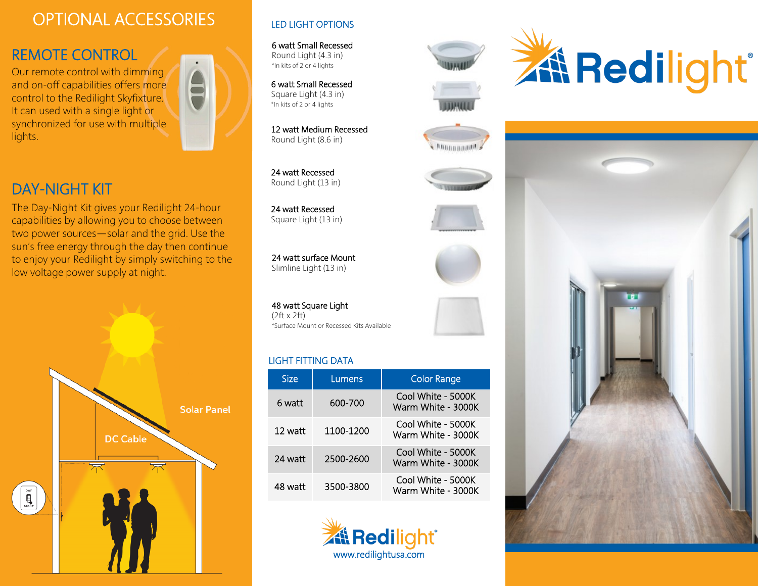## OPTIONAL ACCESSORIES

#### REMOTE CONTROL

Our remote control with dimming and on-off capabilities offers more control to the Redilight Skyfixture. It can used with a single light or synchronized for use with multiple lights.

## DAY-NIGHT KIT

The Day-Night Kit gives your Redilight 24-hour capabilities by allowing you to choose between two power sources—solar and the grid. Use the sun's free energy through the day then continue to enjoy your Redilight by simply switching to the low voltage power supply at night.



#### LED LIGHT OPTIONS

6 watt Small Recessed Round Light (4.3 in) \*In kits of 2 or 4 lights

6 watt Small Recessed Square Light (4.3 in) \*In kits of 2 or 4 lights

12 watt Medium Recessed Round Light (8.6 in)

24 watt Recessed Round Light (13 in)

24 watt Recessed Square Light (13 in)

24 watt surface Mount Slimline Light (13 in)

48 watt Square Light (2ft x 2ft) \*Surface Mount or Recessed Kits Available

#### LIGHT FITTING DATA

| Size    | Lumens    | Color Range                              |
|---------|-----------|------------------------------------------|
| 6 watt  | 600-700   | Cool White - 5000K<br>Warm White - 3000K |
| 12 watt | 1100-1200 | Cool White - 5000K<br>Warm White - 3000K |
| 24 watt | 2500-2600 | Cool White - 5000K<br>Warm White - 3000K |
| 48 watt | 3500-3800 | Cool White - 5000K<br>Warm White - 3000K |





**Monnmana** 

# **At Redilight®**